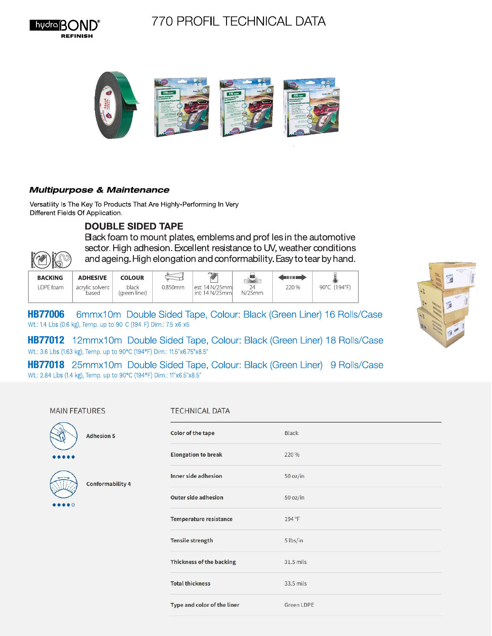





## **Multipurpose & Maintenance**

Versatility Is The Key To Products That Are Highly-Performing In Very Different Fields Of Application

## **DOUBLE SIDED TAPE**

Black foam to mount plates, emblems and prof les in the automotive sector. High adhesion. Excellent resistance to UV, weather conditions and ageing. High elongation and conformability. Easy to tear by hand.

| <b>BACKING</b> | <b>ADHESIVE</b>          | <b>COLOUR</b>          |         | $\sim$                              | MG.    | mm    | $\bullet$    |
|----------------|--------------------------|------------------------|---------|-------------------------------------|--------|-------|--------------|
| DPE foam       | acrylic solvent<br>based | black<br>(areen liner) | 0.850mm | lest: 14 N/25mml<br>int: 14 N/25mml | N/25mm | 220 % | 90°C (194°F) |

**HB77006** 6mmx10m Double Sided Tape, Colour: Black (Green Liner) 16 Rolls/Case Wt.: 1.4 Lbs (0.6 kg), Temp. up to 90 C (194 F) Dim.: 7.5 x6 x5

HB77012 12mmx10m Double Sided Tape, Colour: Black (Green Liner) 18 Rolls/Case Wt.: 3.6 Lbs (1.63 kg), Temp. up to 90°C (194°F) Dim.: 11.5"x6.75"x8.5"

**HB77018** 25mmx10m Double Sided Tape, Colour: Black (Green Liner) 9 Rolls/Case Wt.: 2.84 Lbs (1.4 kg), Temp. up to 90°C (194°F) Dim.: 11"x6.5"x8.5"

### **MAIN FEATURES**

**KPC** 

 $($ a $)$ 

### **TECHNICAL DATA**

|  | <b>Adhesion 5</b>       | Color of the tape               | Black       |
|--|-------------------------|---------------------------------|-------------|
|  |                         | <b>Elongation to break</b>      | 220 %       |
|  | <b>Conformability 4</b> | Inner side adhesion             | 50 oz/in    |
|  |                         | <b>Outer side adhesion</b>      | 50 oz/in    |
|  |                         | Temperature resistance          | 194 °F      |
|  |                         | <b>Tensile strength</b>         | 5 lbs/in    |
|  |                         | <b>Thickness of the backing</b> | $31.5$ mils |
|  |                         | <b>Total thickness</b>          | 33.5 mils   |
|  |                         | Type and color of the liner     | Green LDPE  |